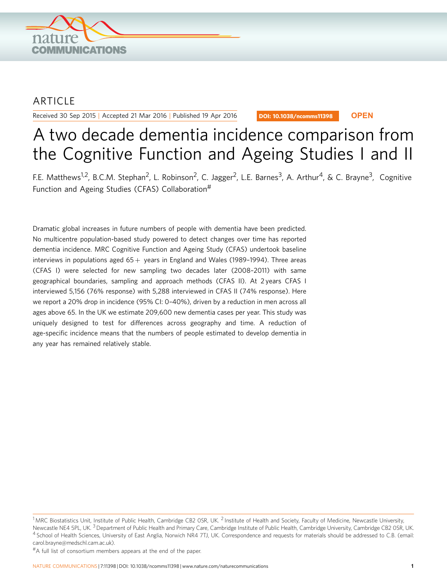

# **ARTICLE**

Received 30 Sep 2015 | Accepted 21 Mar 2016 | Published 19 Apr 2016

DOI: 10.1038/ncomms11398 **OPEN**

# A two decade dementia incidence comparison from the Cognitive Function and Ageing Studies I and II

F.E. Matthews<sup>1,2</sup>, B.C.M. Stephan<sup>2</sup>, L. Robinson<sup>2</sup>, C. Jagger<sup>2</sup>, L.E. Barnes<sup>3</sup>, A. Arthur<sup>4</sup>, & C. Brayne<sup>3</sup>, Cognitive Function and Ageing Studies (CFAS) Collaboration<sup>#</sup>

Dramatic global increases in future numbers of people with dementia have been predicted. No multicentre population-based study powered to detect changes over time has reported dementia incidence. MRC Cognitive Function and Ageing Study (CFAS) undertook baseline interviews in populations aged  $65 +$  years in England and Wales (1989–1994). Three areas (CFAS I) were selected for new sampling two decades later (2008–2011) with same geographical boundaries, sampling and approach methods (CFAS II). At 2 years CFAS I interviewed 5,156 (76% response) with 5,288 interviewed in CFAS II (74% response). Here we report a 20% drop in incidence (95% CI: 0–40%), driven by a reduction in men across all ages above 65. In the UK we estimate 209,600 new dementia cases per year. This study was uniquely designed to test for differences across geography and time. A reduction of age-specific incidence means that the numbers of people estimated to develop dementia in any year has remained relatively stable.

#A full list of consortium members appears at the end of the paper.

 $1$ MRC Biostatistics Unit, Institute of Public Health, Cambridge CB2 OSR, UK. <sup>2</sup> Institute of Health and Society, Faculty of Medicine, Newcastle University, Newcastle NE4 5PL, UK.<sup>3</sup> Department of Public Health and Primary Care, Cambridge Institute of Public Health, Cambridge University, Cambridge CB2 OSR, UK. <sup>4</sup> School of Health Sciences, University of East Anglia, Norwich NR4 7TJ, UK. Correspondence and requests for materials should be addressed to C.B. (email: [carol.brayne@medschl.cam.ac.uk\)](mailto:carol.brayne@medschl.cam.ac.uk).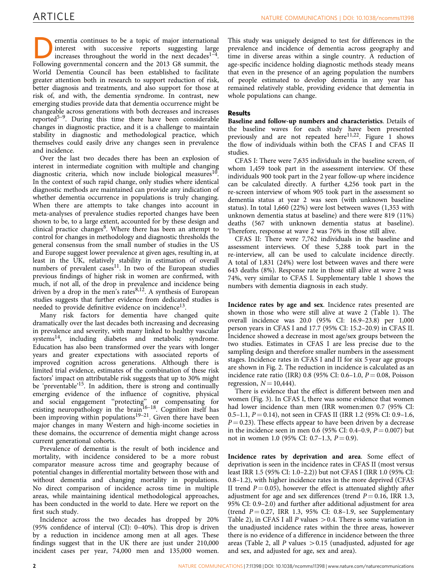mentia continues to be a topic of major international<br>interest with successive reports suggesting large<br>increases throughout the world in the next decades<sup>1-4</sup>.<br>Following governmental concern and the 2013 G8 summit the interest with successive reports suggesting large increases throughout the world in the next decades<sup>1-4</sup>. Following governmental concern and the 2013 G8 summit, the World Dementia Council has been established to facilitate greater attention both in research to support reduction of risk, better diagnosis and treatments, and also support for those at risk of, and with, the dementia syndrome. In contrast, new emerging studies provide data that dementia occurrence might be changeable across generations with both decreases and increases reported $5-9$ . During this time there have been considerable changes in diagnostic practice, and it is a challenge to maintain stability in diagnostic and methodological practice, which themselves could easily drive any changes seen in prevalence and incidence.

Over the last two decades there has been an explosion of interest in intermediate cognition with multiple and changing diagnostic criteria, which now include biological measures<sup>10</sup>. In the context of such rapid change, only studies where identical diagnostic methods are maintained can provide any indication of whether dementia occurrence in populations is truly changing. When there are attempts to take changes into account in meta-analyses of prevalence studies reported changes have been shown to be, to a large extent, accounted for by these design and clinical practice changes $8$ . Where there has been an attempt to control for changes in methodology and diagnostic thresholds the general consensus from the small number of studies in the US and Europe suggest lower prevalence at given ages, resulting in, at least in the UK, relatively stability in estimation of overall numbers of prevalent cases<sup>11</sup>. In two of the European studies previous findings of higher risk in women are confirmed, with much, if not all, of the drop in prevalence and incidence being driven by a drop in the men's rates $8,12$ . A synthesis of European studies suggests that further evidence from dedicated studies is needed to provide definitive evidence on incidence $13$ .

Many risk factors for dementia have changed quite dramatically over the last decades both increasing and decreasing in prevalence and severity, with many linked to healthy vascular systems<sup>[14](#page-6-0)</sup>, including diabetes and metabolic syndrome. Education has also been transformed over the years with longer years and greater expectations with associated reports of improved cognition across generations. Although there is limited trial evidence, estimates of the combination of these risk factors' impact on attributable risk suggests that up to 30% might be 'preventable'<sup>15</sup>. In addition, there is strong and continually emerging evidence of the influence of cognitive, physical and social engagement ''protecting'' or compensating for existing neuropathology in the brain<sup>16-18</sup>. Cognition itself has been improving within populations<sup>19–21</sup>. Given there have been major changes in many Western and high-income societies in these domains, the occurrence of dementia might change across current generational cohorts.

Prevalence of dementia is the result of both incidence and mortality, with incidence considered to be a more robust comparator measure across time and geography because of potential changes in differential mortality between those with and without dementia and changing mortality in populations. No direct comparison of incidence across time in multiple areas, while maintaining identical methodological approaches, has been conducted in the world to date. Here we report on the first such study.

Incidence across the two decades has dropped by 20% (95% confidence of interval (CI): 0–40%). This drop is driven by a reduction in incidence among men at all ages. These findings suggest that in the UK there are just under 210,000 incident cases per year, 74,000 men and 135,000 women.

This study was uniquely designed to test for differences in the prevalence and incidence of dementia across geography and time in diverse areas within a single country. A reduction of age-specific incidence holding diagnostic methods steady means that even in the presence of an ageing population the numbers of people estimated to develop dementia in any year has remained relatively stable, providing evidence that dementia in whole populations can change.

# Results

Baseline and follow-up numbers and characteristics. Details of the baseline waves for each study have been presented previously and are not repeated  $here^{11,22}$  $here^{11,22}$  $here^{11,22}$ . [Figure 1](#page-2-0) shows the flow of individuals within both the CFAS I and CFAS II studies.

CFAS I: There were 7,635 individuals in the baseline screen, of whom 1,459 took part in the assessment interview. Of these individuals 900 took part in the 2 year follow-up where incidence can be calculated directly. A further 4,256 took part in the re-screen interview of whom 905 took part in the assessment so dementia status at year 2 was seen (with unknown baseline status). In total 1,660 (22%) were lost between waves (1,353 with unknown dementia status at baseline) and there were 819 (11%) deaths (567 with unknown dementia status at baseline). Therefore, response at wave 2 was 76% in those still alive.

CFAS II: There were 7,762 individuals in the baseline and assessment interviews. Of these 5,288 took part in the re-interview, all can be used to calculate incidence directly. A total of 1,831 (24%) were lost between waves and there were 643 deaths (8%). Response rate in those still alive at wave 2 was 74%, very similar to CFAS I. Supplementary table 1 shows the numbers with dementia diagnosis in each study.

Incidence rates by age and sex. Incidence rates presented are shown in those who were still alive at wave 2 [\(Table 1](#page-2-0)). The overall incidence was 20.0 (95% CI: 16.9–23.8) per 1,000 person years in CFAS I and 17.7 (95% CI: 15.2–20.9) in CFAS II. Incidence showed a decrease in most age/sex groups between the two studies. Estimates in CFAS I are less precise due to the sampling design and therefore smaller numbers in the assessment stages. Incidence rates in CFAS I and II for six 5 year age groups are shown in [Fig. 2](#page-3-0). The reduction in incidence is calculated as an incidence rate ratio (IRR) 0.8 (95% CI: 0.6–1.0,  $P = 0.08$ , Poisson regression,  $N = 10,444$ .

There is evidence that the effect is different between men and women [\(Fig. 3](#page-3-0)). In CFAS I, there was some evidence that women had lower incidence than men (IRR women:men 0.7 (95% CI: 0.5–1.1,  $P = 0.14$ ), not seen in CFAS II (IRR 1.2 (95% CI: 0.9–1.6,  $P = 0.23$ ). These effects appear to have been driven by a decrease in the incidence seen in men 0.6 (95% CI: 0.4–0.9,  $P = 0.007$ ) but not in women 1.0 (95% CI: 0.7–1.3,  $P = 0.9$ ).

Incidence rates by deprivation and area. Some effect of deprivation is seen in the incidence rates in CFAS II (most versus least IRR 1.5 (95% CI: 1.0–2.2)) but not CFAS I (IRR 1.0 (95% CI: 0.8–1.2), with higher incidence rates in the more deprived (CFAS II trend  $P = 0.05$ ), however the effect is attenuated slightly after adjustment for age and sex differences (trend  $P = 0.16$ , IRR 1.3, 95% CI: 0.9–2.0) and further after additional adjustment for area (trend  $P = 0.27$ , IRR 1.3, 95% CI: 0.8-1.9, see Supplementary Table 2), in CFAS I all  $P$  values  $> 0.4$ . There is some variation in the unadjusted incidence rates within the three areas, however there is no evidence of a difference in incidence between the three areas [\(Table 2](#page-4-0), all P values  $> 0.15$  (unadjusted, adjusted for age and sex, and adjusted for age, sex and area).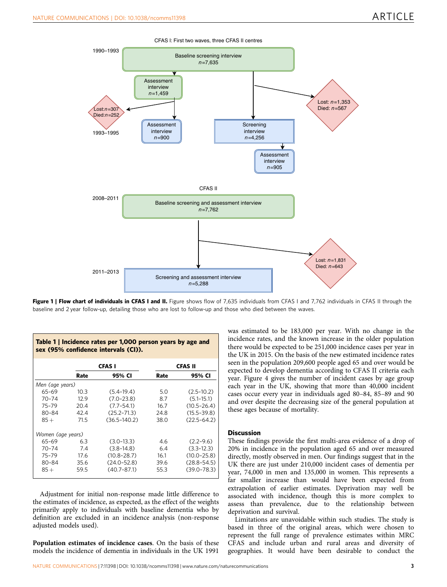<span id="page-2-0"></span>

Figure 1 | Flow chart of individuals in CFAS I and II. Figure shows flow of 7,635 individuals from CFAS I and 7,762 individuals in CFAS II through the baseline and 2 year follow-up, detailing those who are lost to follow-up and those who died between the waves.

| Table 1   Incidence rates per 1,000 person years by age and<br>sex (95% confidence intervals (CI)). |      |                  |                |                 |  |  |  |  |  |
|-----------------------------------------------------------------------------------------------------|------|------------------|----------------|-----------------|--|--|--|--|--|
|                                                                                                     |      | <b>CFAS I</b>    | <b>CFAS II</b> |                 |  |  |  |  |  |
|                                                                                                     | Rate | 95% CI           | Rate           | 95% CI          |  |  |  |  |  |
| Men (age years)                                                                                     |      |                  |                |                 |  |  |  |  |  |
| 65-69                                                                                               | 10.3 | $(5.4 - 19.4)$   | 5.0            | $(2.5 - 10.2)$  |  |  |  |  |  |
| 70-74                                                                                               | 12.9 | $(7.0 - 23.8)$   | 8.7            | $(5.1 - 15.1)$  |  |  |  |  |  |
| $75 - 79$                                                                                           | 20.4 | $(7.7 - 54.1)$   | 16.7           | $(10.5 - 26.4)$ |  |  |  |  |  |
| 80-84                                                                                               | 42.4 | $(25.2 - 71.3)$  | 24.8           | $(15.5 - 39.8)$ |  |  |  |  |  |
| $85 +$                                                                                              | 71.5 | $(36.5 - 140.2)$ | 38.0           | $(22.5 - 64.2)$ |  |  |  |  |  |
| Women (age years)                                                                                   |      |                  |                |                 |  |  |  |  |  |
| $65 - 69$                                                                                           | 63   | $(3.0-13.3)$     | 4.6            | $(2.2 - 9.6)$   |  |  |  |  |  |
| $70 - 74$                                                                                           | 7.4  | $(3.8 - 14.8)$   | 6.4            | $(3.3 - 12.3)$  |  |  |  |  |  |
| $75 - 79$                                                                                           | 17.6 | $(10.8 - 28.7)$  | 16.1           | $(10.0 - 25.8)$ |  |  |  |  |  |
| 80-84                                                                                               | 35.6 | $(24.0 - 52.8)$  | 39.6           | $(28.8 - 54.5)$ |  |  |  |  |  |
| $85 +$                                                                                              | 59.5 | $(40.7 - 87.1)$  | 55.3           | $(39.0 - 78.3)$ |  |  |  |  |  |

Adjustment for initial non-response made little difference to the estimates of incidence, as expected, as the effect of the weights primarily apply to individuals with baseline dementia who by definition are excluded in an incidence analysis (non-response adjusted models used).

Population estimates of incidence cases. On the basis of these models the incidence of dementia in individuals in the UK 1991

was estimated to be 183,000 per year. With no change in the incidence rates, and the known increase in the older population there would be expected to be 251,000 incidence cases per year in the UK in 2015. On the basis of the new estimated incidence rates seen in the population 209,600 people aged 65 and over would be expected to develop dementia according to CFAS II criteria each year. [Figure 4](#page-4-0) gives the number of incident cases by age group each year in the UK, showing that more than 40,000 incident cases occur every year in individuals aged 80–84, 85–89 and 90 and over despite the decreasing size of the general population at these ages because of mortality.

# **Discussion**

These findings provide the first multi-area evidence of a drop of 20% in incidence in the population aged 65 and over measured directly, mostly observed in men. Our findings suggest that in the UK there are just under 210,000 incident cases of dementia per year, 74,000 in men and 135,000 in women. This represents a far smaller increase than would have been expected from extrapolation of earlier estimates. Deprivation may well be associated with incidence, though this is more complex to assess than prevalence, due to the relationship between deprivation and survival.

Limitations are unavoidable within such studies. The study is based in three of the original areas, which were chosen to represent the full range of prevalence estimates within MRC CFAS and include urban and rural areas and diversity of geographies. It would have been desirable to conduct the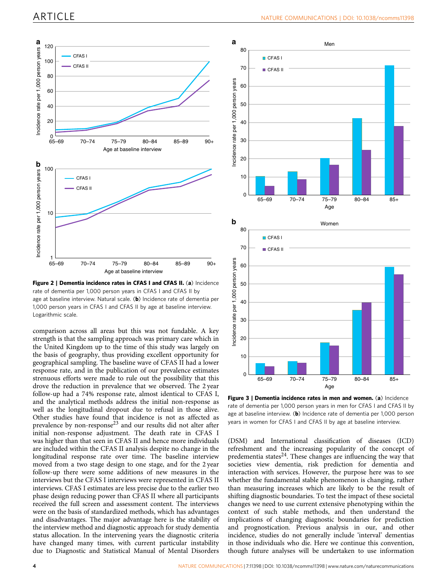<span id="page-3-0"></span>

Figure 2 | Dementia incidence rates in CFAS I and CFAS II. (a) Incidence rate of dementia per 1,000 person years in CFAS I and CFAS II by age at baseline interview. Natural scale. (b) Incidence rate of dementia per 1,000 person years in CFAS I and CFAS II by age at baseline interview. Logarithmic scale.

comparison across all areas but this was not fundable. A key strength is that the sampling approach was primary care which in the United Kingdom up to the time of this study was largely on the basis of geography, thus providing excellent opportunity for geographical sampling. The baseline wave of CFAS II had a lower response rate, and in the publication of our prevalence estimates strenuous efforts were made to rule out the possibility that this drove the reduction in prevalence that we observed. The 2 year follow-up had a 74% response rate, almost identical to CFAS I, and the analytical methods address the initial non-response as well as the longitudinal dropout due to refusal in those alive. Other studies have found that incidence is not as affected as prevalence by non-response[23](#page-6-0) and our results did not alter after initial non-response adjustment. The death rate in CFAS I was higher than that seen in CFAS II and hence more individuals are included within the CFAS II analysis despite no change in the longitudinal response rate over time. The baseline interview moved from a two stage design to one stage, and for the 2 year follow-up there were some additions of new measures in the interviews but the CFAS I interviews were represented in CFAS II interviews. CFAS I estimates are less precise due to the earlier two phase design reducing power than CFAS II where all participants received the full screen and assessment content. The interviews were on the basis of standardized methods, which has advantages and disadvantages. The major advantage here is the stability of the interview method and diagnostic approach for study dementia status allocation. In the intervening years the diagnostic criteria have changed many times, with current particular instability due to Diagnostic and Statistical Manual of Mental Disorders



Figure 3 | Dementia incidence rates in men and women. (a) Incidence rate of dementia per 1,000 person years in men for CFAS I and CFAS II by age at baseline interview. (b) Incidence rate of dementia per 1,000 person years in women for CFAS I and CFAS II by age at baseline interview.

(DSM) and International classification of diseases (ICD) refreshment and the increasing popularity of the concept of predementia states $^{24}$ . These changes are influencing the way that societies view dementia, risk prediction for dementia and interaction with services. However, the purpose here was to see whether the fundamental stable phenomenon is changing, rather than measuring increases which are likely to be the result of shifting diagnostic boundaries. To test the impact of these societal changes we need to use current extensive phenotyping within the context of such stable methods, and then understand the implications of changing diagnostic boundaries for prediction and prognostication. Previous analysis in our, and other incidence, studies do not generally include 'interval' dementias in those individuals who die. Here we continue this convention, though future analyses will be undertaken to use information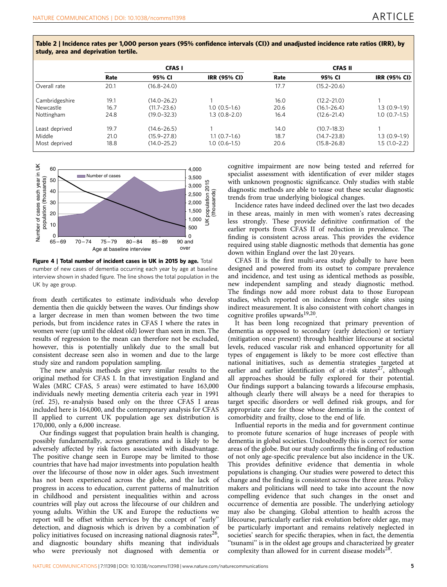|                | <b>CFAS I</b> |                 |                     | <b>CFAS II</b> |                 |                     |
|----------------|---------------|-----------------|---------------------|----------------|-----------------|---------------------|
|                | Rate          | 95% CI          | <b>IRR (95% CI)</b> | Rate           | 95% CI          | <b>IRR (95% CI)</b> |
| Overall rate   | 20.1          | $(16.8 - 24.0)$ |                     | 17.7           | $(15.2 - 20.6)$ |                     |
| Cambridgeshire | 19.1          | $(14.0 - 26.2)$ |                     | 16.0           | $(12.2 - 21.0)$ |                     |
| Newcastle      | 16.7          | $(11.7 - 23.6)$ | $1.0(0.5-1.6)$      | 20.6           | $(16.1 - 26.4)$ | $1.3(0.9-1.9)$      |
| Nottingham     | 24.8          | $(19.0 - 32.3)$ | $1.3(0.8-2.0)$      | 16.4           | $(12.6 - 21.4)$ | $1.0(0.7-1.5)$      |
| Least deprived | 19.7          | $(14.6 - 26.5)$ |                     | 14.0           | $(10.7 - 18.3)$ |                     |
| Middle         | 21.0          | $(15.9 - 27.8)$ | $1.1(0.7-1.6)$      | 18.7           | $(14.7 - 23.8)$ | $1.3(0.9-1.9)$      |
| Most deprived  | 18.8          | $(14.0 - 25.2)$ | $1.0(0.6-1.5)$      | 20.6           | $(15.8 - 26.8)$ | $1.5(1.0-2.2)$      |

<span id="page-4-0"></span>Table 2 | Incidence rates per 1,000 person years (95% confidence intervals (CI)) and unadjusted incidence rate ratios (IRR), by study, area and deprivation tertile.



Figure 4 | Total number of incident cases in UK in 2015 by age. Total number of new cases of dementia occurring each year by age at baseline interview shown in shaded figure. The line shows the total population in the UK by age group.

from death certificates to estimate individuals who develop dementia then die quickly between the waves. Our findings show a larger decrease in men than women between the two time periods, but from incidence rates in CFAS I where the rates in women were (up until the oldest old) lower than seen in men. The results of regression to the mean can therefore not be excluded, however, this is potentially unlikely due to the small but consistent decrease seen also in women and due to the large study size and random population sampling.

The new analysis methods give very similar results to the original method for CFAS I. In that investigation England and Wales (MRC CFAS, 5 areas) were estimated to have 163,000 individuals newly meeting dementia criteria each year in 1991 ([ref. 25\)](#page-6-0), re-analysis based only on the three CFAS I areas included here is 164,000, and the contemporary analysis for CFAS II applied to current UK population age sex distribution is 170,000, only a 6,000 increase.

Our findings suggest that population brain health is changing, possibly fundamentally, across generations and is likely to be adversely affected by risk factors associated with disadvantage. The positive change seen in Europe may be limited to those countries that have had major investments into population health over the lifecourse of those now in older ages. Such investment has not been experienced across the globe, and the lack of progress in access to education, current patterns of malnutrition in childhood and persistent inequalities within and across countries will play out across the lifecourse of our children and young adults. Within the UK and Europe the reductions we report will be offset within services by the concept of ''early'' detection, and diagnosis which is driven by a combination of policy initiatives focused on increasing national diagnosis rates<sup>26</sup>, and diagnostic boundary shifts meaning that individuals who were previously not diagnosed with dementia or

cognitive impairment are now being tested and referred for specialist assessment with identification of ever milder stages with unknown prognostic significance. Only studies with stable diagnostic methods are able to tease out these secular diagnostic trends from true underlying biological changes.

Incidence rates have indeed declined over the last two decades in these areas, mainly in men with women's rates decreasing less strongly. These provide definitive confirmation of the earlier reports from CFAS II of reduction in prevalence. The finding is consistent across areas. This provides the evidence required using stable diagnostic methods that dementia has gone down within England over the last 20 years.

CFAS II is the first multi-area study globally to have been designed and powered from its outset to compare prevalence and incidence, and test using as identical methods as possible, new independent sampling and steady diagnostic method. The findings now add more robust data to those European studies, which reported on incidence from single sites using indirect measurement. It is also consistent with cohort changes in cognitive profiles upwards<sup>[19,20](#page-6-0)</sup>.

It has been long recognized that primary prevention of dementia as opposed to secondary (early detection) or tertiary (mitigation once present) through healthier lifecourse at societal levels, reduced vascular risk and enhanced opportunity for all types of engagement is likely to be more cost effective than national initiatives, such as dementia strategies targeted at earlier and earlier identification of at-risk states<sup>[27](#page-6-0)</sup>, although all approaches should be fully explored for their potential. Our findings support a balancing towards a lifecourse emphasis, although clearly there will always be a need for therapies to target specific disorders or well defined risk groups, and for appropriate care for those whose dementia is in the context of comorbidity and frailty, close to the end of life.

Influential reports in the media and for government continue to promote future scenarios of huge increases of people with dementia in global societies. Undoubtedly this is correct for some areas of the globe. But our study confirms the finding of reduction of not only age-specific prevalence but also incidence in the UK. This provides definitive evidence that dementia in whole populations is changing. Our studies were powered to detect this change and the finding is consistent across the three areas. Policy makers and politicians will need to take into account the now compelling evidence that such changes in the onset and occurrence of dementia are possible. The underlying aetiology may also be changing. Global attention to health across the lifecourse, particularly earlier risk evolution before older age, may be particularly important and remains relatively neglected in societies' search for specific therapies, when in fact, the dementia "tsunami" is in the oldest age groups and characterized by greater complexity than allowed for in current disease models<sup>[28](#page-6-0)</sup>.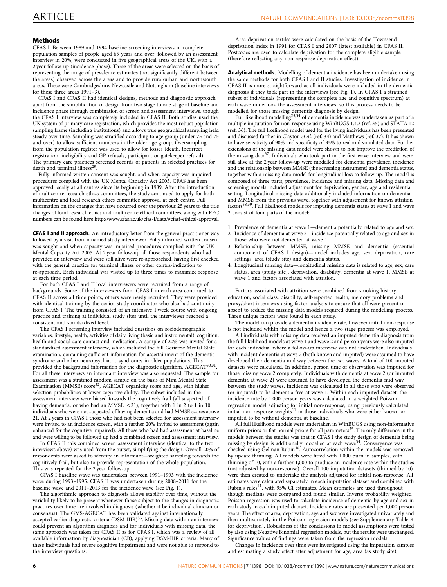# **Methods**

CFAS I: Between 1989 and 1994 baseline screening interviews in complete population samples of people aged 65 years and over, followed by an assessment interview in 20%, were conducted in five geographical areas of the UK, with a 2 year follow-up (incidence phase). Three of the areas were selected on the basis of representing the range of prevalence estimates (not significantly different between the areas) observed across the areas and to provide rural/urban and north/south areas. These were Cambridgeshire, Newcastle and Nottingham (baseline interviews for these three areas 1991–3).

CFAS I and CFAS II had identical designs, methods and diagnostic approach apart from the simplification of design from two stage to one stage at baseline and incidence phase through combination of screen and assessment interviews, though the CFAS I interview was completely included in CFAS II. Both studies used the UK system of primary care registration, which provides the most robust population sampling frame (including institutions) and allows true geographical sampling held steady over time. Sampling was stratified according to age group (under 75 and 75 and over) to allow sufficient numbers in the older age group. Oversampling from the population register was used to allow for losses (death, incorrect registration, ineligibility and GP refusals, participant or gatekeeper refusal). The primary care practices screened records of patients in selected practices for death and terminal illness<sup>[29](#page-6-0)</sup>.

Fully informed written consent was sought, and when capacity was impaired procedures complied with the UK Mental Capacity Act 2005. CFAS has been approved locally at all centres since its beginning in 1989. After the introduction of multicentre research ethics committees, the study continued to apply for both multicentre and local research ethics committee approval at each centre. Full information on the changes that have occurred over the previous 25 years to the title changes of local research ethics and multicentre ethical committees, along with REC numbers can be found here<http://www.cfas.ac.uk/cfas-i/data/#cfasi-ethical-approval>.

CFAS I and II approach. An introductory letter from the general practitioner was followed by a visit from a named study interviewer. Fully informed written consent was sought and when capacity was impaired procedures complied with the UK Mental Capacity Act 2005. At 2 year follow-up all those respondents who had provided an interview and were still alive were re-approached, having first checked with the general practice for terminal illness or other contra-indication to re-approach. Each individual was visited up to three times to maximize response at each time period.

For both CFAS I and II local interviewers were recruited from a range of backgrounds. Some of the interviewers from CFAS I in each area continued to CFAS II across all time points, others were newly recruited. They were provided with identical training by the senior study coordinator who also had continuity from CFAS I. The training consisted of an intensive 1 week course with ongoing practice and training at individual study sites until the interviewer reached a consistent and standardized level.

The CFAS I screening interview included questions on sociodemographic variables, lifestyle, health, activities of daily living (basic and instrumental), cognition, health and social care contact and medication. A sample of 20% was invited for a standardised assessment interview, which included the full Geriatric Mental State examination, containing sufficient information for ascertainment of the dementia syndrome and other neuropsychiatric syndromes in older populations. This provided the background information for the diagnostic algorithm, AGECA[T30,31.](#page-6-0) For all these interviews an informant interview was also requested. The sample for assessment was a stratified random sample on the basis of Mini Mental State Examination (MMSE) score<sup>32</sup>, AGECAT organicity score and age, with higher selection probabilities at lower cognitive ability. The subset included in the assessment interview were biased towards the cognitively frail (all suspected of having dementia, or who had an MMSE  $\leq$ 21), together with 1 in 2 to 1 in 10 individuals who were not suspected of having dementia and had MMSE scores above 21. At 2 years in CFAS I those who had not been selected for assessment interview were invited to an incidence screen, with a further 20% invited to assessment (again enhanced for the cognitive impaired). All those who had had assessment at baseline and were willing to be followed up had a combined screen and assessment interview.

In CFAS II this combined screen assessment interview (identical to the two interviews above) was used from the outset, simplifying the design. Overall 20% of respondents were asked to identify an informant—weighted sampling towards the cognitively frail, but also to provide representation of the whole population. This was repeated for the 2 year follow-up.

CFAS I baseline wave was undertaken between 1991–1993 with the incidence wave during 1993–1995. CFAS II was undertaken during 2008–2011 for the baseline wave and 2011–2013 for the incidence wave (see [Fig. 1](#page-2-0)).

The algorithmic approach to diagnosis allows stability over time, without the variability likely to be present whenever those subject to the changes in diagnostic practices over time are involved in diagnosis (whether it be individual clinician or consensus). The GMS-AGECAT has been validated against internationally accepted earlier diagnostic criteria (DSM-IIIR)<sup>[33](#page-6-0)</sup>. Missing data within an interview could prevent an algorithm diagnosis and for individuals with missing data, the same approach was taken for CFAS II as for CFAS I, which was a review of all available information by diagnostician (CB), applying DSM-IIIR criteria. Many of these individuals had severe cognitive impairment and were not able to respond to the interview questions.

Area deprivation tertiles were calculated on the basis of the Townsend deprivation index in 1991 for CFAS I and 2007 (latest available) in CFAS II. Postcodes are used to calculate deprivation for the complete eligible sample (therefore reflecting any non-response deprivation effect).

Analytical methods. Modelling of dementia incidence has been undertaken using the same methods for both CFAS I and II studies. Investigation of incidence in CFAS II is more straightforward as all individuals were included in the dementia diagnosis if they took part in the interviews (see [Fig. 1](#page-2-0)). In CFAS I a stratified subset of individuals (representing the complete age and cognitive spectrum) at each wave undertook the assessment interviews, so this process needs to be

modelled for those missing dementia diagnosis by design.<br>Full likelihood modelling<sup>[25,34](#page-6-0)</sup> of dementia incidence was undertaken as part of a multiple imputation for non-response using WinBUGS 1.4.3 ([ref. 35](#page-6-0)) and STATA 12 [\(ref. 36\)](#page-6-0). The full likelihood model used for the living individuals has been presented and discussed further in Clayton et al. [\(ref. 34\)](#page-6-0) and Matthews [\(ref. 37\)](#page-6-0). It has shown to have sensitivity of 90% and specificity of 95% to real and simulated data. Further extensions of the missing data model were shown to not improve the prediction of the missing data<sup>[37](#page-6-0)</sup>. Individuals who took part in the first wave interview and were still alive at the 2 year follow-up were modelled for dementia prevalence, incidence and the relationship between MMSE (the screening instrument) and dementia status, together with a missing data model for longitudinal loss to follow-up. The model is composed of three parts, prevalence, incidence and missing data. Missing data and screening models included adjustment for deprivation, gender, age and residential setting. Longitudinal missing data additionally included information on dementia and MMSE from the previous wave, together with adjustment for known attrition factor[s38,39.](#page-6-0) Full likelihood models for imputing dementia status at wave 1 and wave 2 consist of four parts of the model:

- 1. Prevalence of dementia at wave 1—dementia potentially related to age and sex.
- 2. Incidence of dementia at wave 2—incidence potentially related to age and sex in those who were not demented at wave 1.
- 3. Relationship between MMSE, missing MMSE and dementia (essential component of CFAS I design)—model includes age, sex, deprivation, care settings, area (study site) and dementia status.
- 4. Longitudinal missing data—longitudinal missing data is related to age, sex, care status, area (study site), deprivation, disability, dementia at wave 1, MMSE at wave 1 and factors associated with attrition.

Factors associated with attrition were combined from smoking history, education, social class, disability, self-reported health, memory problems and proxy/short interviews using factor analysis to ensure that all were present or absent to reduce the missing data models required during the modelling process. Three unique factors were found in each study.

The model can provide a dementia incidence rate, however initial non-response is not included within the model and hence a two stage process was employed.

All individuals with missing data received an imputed dementia diagnosis from the full likelihood models at wave 1 and wave 2 and person years were also imputed for each individual where a follow-up interview was not undertaken. Individuals with incident dementia at wave 2 (both known and imputed) were assumed to have developed their dementia mid way between the two waves. A total of 100 imputed datasets were calculated. In addition, person time of observation was imputed for those missing wave 2 completely. Individuals with dementia at wave 2 (or imputed dementia at wave 2) were assumed to have developed the dementia mid way between the study waves. Incidence was calculated in all those who were observed (or imputed) to be dementia free at wave 1. Within each imputed dataset, the incidence rate by 1,000 person years was calculated in a weighted Poisson regression model adjusting for initial non-response, using previously calculated<br>initial non-response weights<sup>11</sup> in those individuals who were either known or imputed to be without dementia at baseline.

All full likelihood models were undertaken in WinBUGS using non-informative uniform priors or flat normal priors for all parameters<sup>[35](#page-6-0)</sup>. The only difference in the models between the studies was that in CFAS I the study design of dementia being missing by design is additionally modelled at each wave<sup>[34](#page-6-0)</sup>. Convergence was checked using Gelman Rubin<sup>40</sup>. Autocorrelation within the models was removed by update thinning. All models were fitted with 1,000 burn in samples, with thinning of 10, with a further 1,000 to produce an incidence rate within the studies (not adjusted by non-response). Overall 100 imputation datasets (thinned by 10) were then created to undertake the analysis adjusted for initial non-response. All estimates were calculated separately in each imputation dataset and combined with Rubin's rules $41$ , with 95% CI estimates. Mean estimates are used throughout though medians were compared and found similar. Inverse probability weighted Poisson regression was used to calculate incidence of dementia by age and sex in each study in each imputed dataset. Incidence rates are presented per 1,000 person years. The effect of area, deprivation, age and sex were investigated univariately and then multivariately in the Poisson regression models (see Supplementary Table 3 for deprivation). Robustness of the conclusions to model assumptions were tested by also using Negative Binomial regression models, but the results were unchanged. Significance values of findings were taken from the regression models.

Changes in incidence over time were investigated using the imputation samples and estimating a study effect after adjustment for age, area (as study site),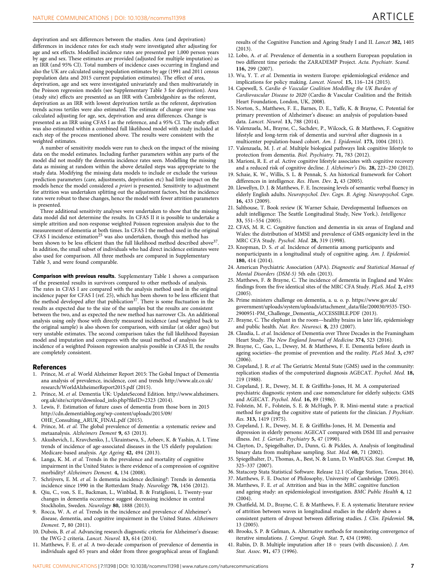<span id="page-6-0"></span>deprivation and sex differences between the studies. Area (and deprivation) differences in incidence rates for each study were investigated after adjusting for age and sex effects. Modelled incidence rates are presented per 1,000 person years by age and sex. These estimates are provided (adjusted for multiple imputation) as an IRR (and 95% CI). Total numbers of incidence cases occurring in England and also the UK are calculated using population estimates by age (1991 and 2011 census population data and 2015 current population estimates). The effect of area, deprivation, age and sex were investigated univariately and then multivariately in the Poisson regression models (see Supplementary Table 3 for deprivation). Area (study site) effects are presented as an IRR with Cambridgeshire as the referent, deprivation as an IRR with lowest deprivation tertile as the referent, deprivation trends across tertiles were also estimated. The estimate of change over time was calculated adjusting for age, sex, deprivation and area differences. Change is presented as an IRR using CFAS I as the reference, and a 95% CI. The study effect was also estimated within a combined full likelihood model with study included at each step of the process mentioned above. The results were consistent with the weighted estimates.

A number of sensitivity models were run to check on the impact of the missing data on the model estimates. Including further parameters within any parts of the model did not modify the dementia incidence rates seen. Modelling the missing data as missing at random within the above detailed steps was appropriate to the study data. Modifying the missing data models to include or exclude the various prediction parameters (care, adjustments, deprivation etc) had little impact on the models hence the model considered a priori is presented. Sensitivity to adjustment for attrition was undertaken splitting out the adjustment factors, but the incidence rates were robust to these changes, hence the model with fewer attrition parameters is presented.

Three additional sensitivity analyses were undertaken to show that the missing data model did not determine the results. In CFAS II it is possible to undertake a simple attrition and non-response weighted Poisson regression analysis due to the measurement of dementia at both times. In CFAS I the method used in the original CFAS I incidence estimation<sup>25</sup> was also undertaken, though this method has been shown to be less efficient than the full likelihood method described above<sup>37</sup>. In addition, the small subset of individuals who had direct incidence estimates were also used for comparison. All three methods are compared in Supplementary Table 3, and were found comparable.

Comparison with previous results. Supplementary Table 1 shows a comparison of the presented results in survivors compared to other methods of analysis. The rates in CFAS I are compared with the analysis method used in the original incidence paper for CFAS I (ref. 25), which has been shown to be less efficient that<br>the method developed after that publication<sup>37</sup>. There is some fluctuation in the results as expected due to the size of the samples but the results are consistent between the two, and as expected the new method has narrower CIs. An additional analysis using only those with directly measured incidence (and weighted back to the original sample) is also shown for comparison, with similar (at older ages) but very unstable estimates. The second comparison takes the full likelihood Bayesian model and imputation and compares with the usual method of analysis for incidence of a weighted Poisson regression analysis possible in CFAS II, the results are completely consistent.

## References

- 1. Prince, M. et al. World Alzheimer Report 2015: The Gobal Impact of Dementia ana analysis of prevalence, incidence, cost and trends [http://www.alz.co.uk/](http://www.alz.co.uk/research/WorldAlzheimerReport2015.pdf) [research/WorldAlzheimerReport2015.pdf](http://www.alz.co.uk/research/WorldAlzheimerReport2015.pdf) (2015).
- 2. Prince, M. et al. Dementia UK: UpdateSecond Edition. [http://www.alzheimers.](http://www.alzheimers.org.uk/site/scripts/download_info.php?fileID=2323) [org.uk/site/scripts/download\\_info.php?fileID=2323](http://www.alzheimers.org.uk/site/scripts/download_info.php?fileID=2323) (2014).
- 3. Lewis, F. Estimation of future cases of dementia from those born in 2015 [http://cdn.dementiablog.org/wp-content/uploads/2015/09/](http://cdn.dementiablog.org/wp-content/uploads/2015/09/OHE_Consulting_ARUK_FINAL.pdf) [OHE\\_Consulting\\_ARUK\\_FINAL.pdf](http://cdn.dementiablog.org/wp-content/uploads/2015/09/OHE_Consulting_ARUK_FINAL.pdf) (2015).
- 4. Prince, M. et al. The global prevalence of dementia: a systematic review and metaanalysis. Alzheimers Dement 9, 63 (2013).
- 5. Akushevich, I., Kravchenko, J., Ukraintseva, S., Arbeev, K. & Yashin, A. I. Time trends of incidence of age-associated diseases in the US elderly population: Medicare-based analysis. Age Ageing 42, 494 (2013).
- 6. Langa, K. M. et al. Trends in the prevalence and mortality of cognitive impairment in the United States: is there evidence of a compression of cognitive morbidity? Alzheimers Dement. 4, 134 (2008).
- 7. Schrijvers, E. M. et al. Is dementia incidence declining?: Trends in dementia incidence since 1990 in the Rotterdam Study. Neurology 78, 1456 (2012).
- 8. Qiu, C., von, S. E., Backman, L., Winblad, B. & Fratiglioni, L. Twenty-year changes in dementia occurrence suggest decreasing incidence in central Stockholm, Sweden. Neurology 80, 1888 (2013).
- Rocca, W. A. et al. Trends in the incidence and prevalence of Alzheimer's disease, dementia, and cognitive impairment in the United States. Alzheimers Dement. 7, 80 (2011).
- 10. Dubois, B. et al. Advancing research diagnostic criteria for Alzheimer's disease: the IWG-2 criteria. Lancet. Neurol. 13, 614 (2014).
- 11. Matthews, F. E. et al. A two-decade comparison of prevalence of dementia in individuals aged 65 years and older from three geographical areas of England:

results of the Cognitive Function and Ageing Study I and II. Lancet 382, 1405 (2013).

- 12. Lobo, A. et al. Prevalence of dementia in a southern European population in two different time periods: the ZARADEMP Project. Acta. Psychiatr. Scand. 116, 299 (2007).
- 13. Wu, Y. T. et al. Dementia in western Europe: epidemiological evidence and implications for policy making. Lancet. Neurol. 15, 116–124 (2015).
- 14. Capewell, S. Cardio & Vascular Coalition Modelling the UK Burden of Cardiovascular Disease to 2020 (Cardio & Vascular Coalition and the British Heart Foundation, London, UK, 2008).
- 15. Norton, S., Matthews, F. E., Barnes, D. E., Yaffe, K. & Brayne, C. Potential for primary prevention of Alzheimer's disease: an analysis of population-based data. Lancet. Neurol. 13, 788 (2014).
- 16. Valenzuela, M., Brayne, C., Sachdev, P., Wilcock, G. & Matthews, F. Cognitive lifestyle and long-term risk of dementia and survival after diagnosis in a multicenter population-based cohort. Am. J. Epidemiol. 173, 1004 (2011).
- 17. Valenzuela, M. J. et al. Multiple biological pathways link cognitive lifestyle to protection from dementia. Biol. Psychiatry. 71, 783 (2012).
- 18. Marioni, R. E. et al. Active cognitive lifestyle associates with cognitive recovery and a reduced risk of cognitive decline. J. Alzheimer's Dis. 28, 223–230 (2012).
- 19. Schaie, K. W., Willis, S. L. & Pennak, S. An historical framework for Cohort differences in intelligence. Res. Hum. Dev. 2, 43 (2005).
- 20. Llewellyn, D. J. & Matthews, F. E. Increasing levels of semantic verbal fluency in elderly English adults. Neuropsychol. Dev. Cogn. B. Aging. Neuropsychol. Cogn. 16, 433 (2009).
- 21. Salthouse, T. Book review (K Warner Schaie, Developmental Influences on adult intelligence: The Seattle Longitudinal Study, New York.). Intelligence 33, 551–554 (2005).
- 22. CFAS, M. R. C. Cognitive function and dementia in six areas of England and Wales: the distribution of MMSE and prevalence of GMS organicity level in the MRC CFA Study. Pyschol. Med. 28, 319 (1998).
- 23. Knopman, D. S. et al. Incidence of dementia among participants and nonparticipants in a longitudinal study of cognitive aging. Am. J. Epidemiol. 180, 414 (2014).
- 24. American Psychiatric Association (APA). Diagnostic and Statistical Manual of Mental Disorders (DSM-5) 5th edn (2013).
- 25. Matthews, F. & Brayne, C. The incidence of dementia in England and Wales: findings from the five identical sites of the MRC CFA Study. PLoS. Med. 2, e193  $(2005)$ .
- 26. Prime ministers challenge on dementia, a. u. o. p. [https://www.gov.uk/](https://www.gov.uk/government/uploads/system/uploads/attachment_data/file/200030/9535-TSO-2900951-PM_Challenge_Dementia_ACCESSIBLE.PDF) [government/uploads/system/uploads/attachment\\_data/file/200030/9535-TSO-](https://www.gov.uk/government/uploads/system/uploads/attachment_data/file/200030/9535-TSO-2900951-PM_Challenge_Dementia_ACCESSIBLE.PDF)[2900951-PM\\_Challenge\\_Dementia\\_ACCESSIBLE.PDF](https://www.gov.uk/government/uploads/system/uploads/attachment_data/file/200030/9535-TSO-2900951-PM_Challenge_Dementia_ACCESSIBLE.PDF) (2013).
- 27. Brayne, C. The elephant in the room—healthy brains in later life, epidemiology and public health. Nat. Rev. Neurosci. 8, 233 (2007).
- 28. Claudia, L. et al. Incidence of Dementia over Three Decades in the Framingham Heart Study. The New England Journal of Medicine 374, 523 (2016).
- 29. Brayne, C., Gao, L., Dewey, M. & Matthews, F. E. Dementia before death in ageing societies--the promise of prevention and the reality. PLoS Med. 3, e397 (2006).
- 30. Copeland, J. R. et al. The Geriatric Mental State (GMS) used in the community: replication studies of the computerized diagnosis AGECAT. Psychol. Med. 18, 219 (1988).
- 31. Copeland, J. R., Dewey, M. E. & Griffiths-Jones, H. M. A computerized psychiatric diagnostic system and case nomenclature for elderly subjects: GMS and AGECAT. Psychol. Med. 16, 89 (1986).
- 32. Folstein, M. F., Folstein, S. E. & McHugh, P. R. Mini-mental state: a practical method for grading the cognitive state of patients for the clinician. J Psychiatr. Res. 313, 1419 (1975).
- 33. Copeland, J. R., Dewey, M. E. & Griffiths-Jones, H. M. Dementia and depression in elderly persons: AGECAT compared with DSM III and pervasive illness. Int. J. Geriatr. Psychiatry 5, 47 (1990).
- 34. Clayton, D., Spiegelhalter, D., Dunn, G. & Pickles, A. Analysis of longitudinal binary data from multiphase sampling. Stat. Med. 60, 71 (2002).
- 35. Spiegelhalter, D., Thomas, A., Best, N. & Lunn, D. WinBUGS. Stat. Comput. 10, 325–337 (2007).
- 36. Statacorp Stata Statistical Software. Release 12.1 (College Station, Texas, 2014).
- 37. Matthews, F. E. Doctor of Philosophy, University of Cambridge (2005).
- 38. Matthews, F. E. et al. Attrition and bias in the MRC cognitive function and ageing study: an epidemiological investigation. BMC Public Health 4, 12  $(2004)$
- 39. Chatfield, M. D., Brayne, C. E. & Matthews, F. E. A systematic literature review of attrition between waves in longitudinal studies in the elderly shows a consistent pattern of dropout between differing studies. J. Clin. Epidemiol. 58, 13 (2005).
- 40. Brooks, S. P. & Gelman, A. Alternative methods for monitoring convergence of iterative simulations. J. Comput. Graph. Stat. 7, 434 (1998).
- 41. Rubin, D. B. Multiple imputation after  $18 +$  years (with discussion). J. Am. Stat. Assoc. **91,** 473 (1996).